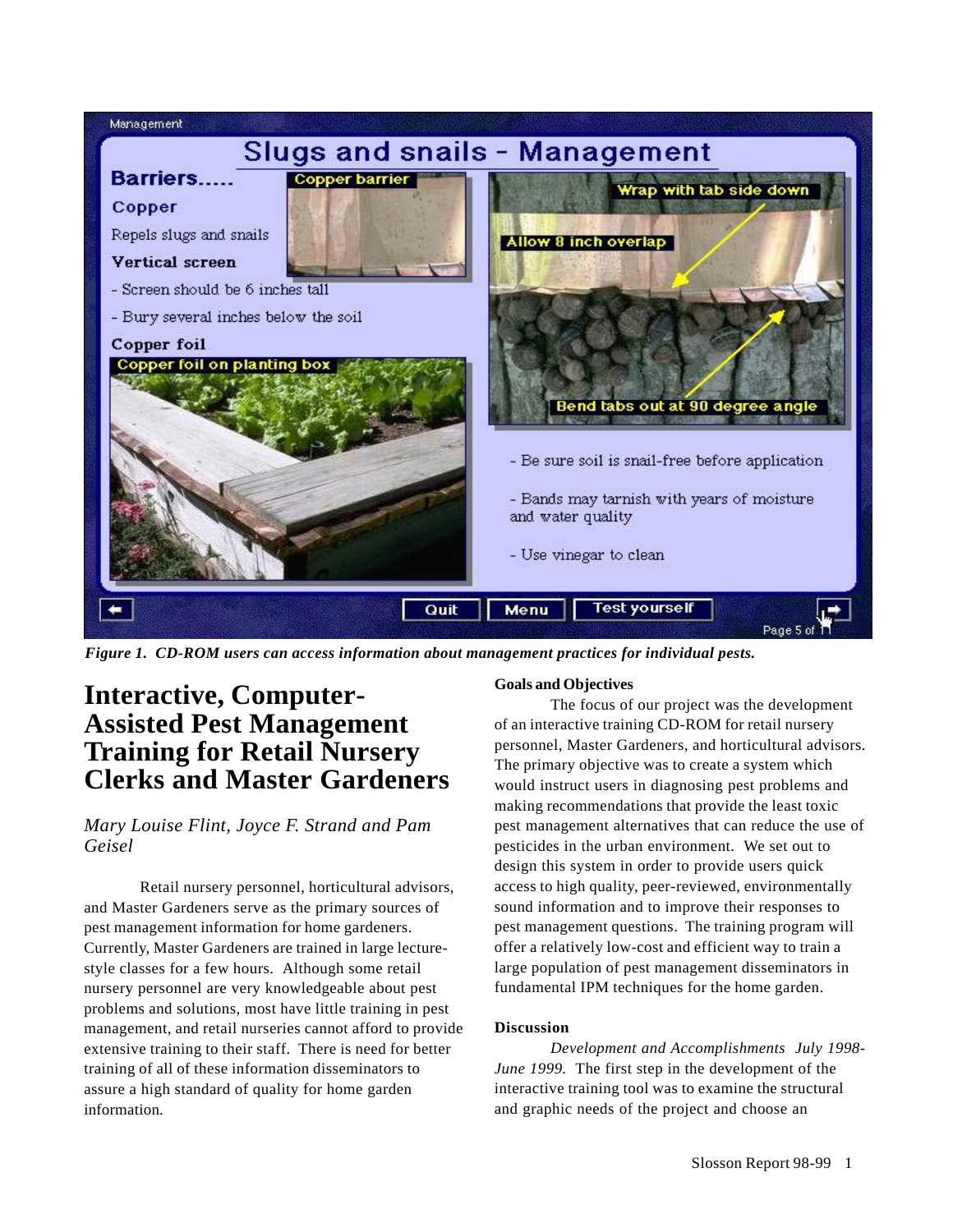

*Figure 1. CD-ROM users can access information about management practices for individual pests.*

## **Interactive, Computer-Assisted Pest Management Training for Retail Nursery Clerks and Master Gardeners**

## *Mary Louise Flint, Joyce F. Strand and Pam Geisel*

Retail nursery personnel, horticultural advisors, and Master Gardeners serve as the primary sources of pest management information for home gardeners. Currently, Master Gardeners are trained in large lecturestyle classes for a few hours. Although some retail nursery personnel are very knowledgeable about pest problems and solutions, most have little training in pest management, and retail nurseries cannot afford to provide extensive training to their staff. There is need for better training of all of these information disseminators to assure a high standard of quality for home garden information.

## **Goals and Objectives**

The focus of our project was the development of an interactive training CD-ROM for retail nursery personnel, Master Gardeners, and horticultural advisors. The primary objective was to create a system which would instruct users in diagnosing pest problems and making recommendations that provide the least toxic pest management alternatives that can reduce the use of pesticides in the urban environment. We set out to design this system in order to provide users quick access to high quality, peer-reviewed, environmentally sound information and to improve their responses to pest management questions. The training program will offer a relatively low-cost and efficient way to train a large population of pest management disseminators in fundamental IPM techniques for the home garden.

## **Discussion**

*Development and Accomplishments July 1998- June 1999.* The first step in the development of the interactive training tool was to examine the structural and graphic needs of the project and choose an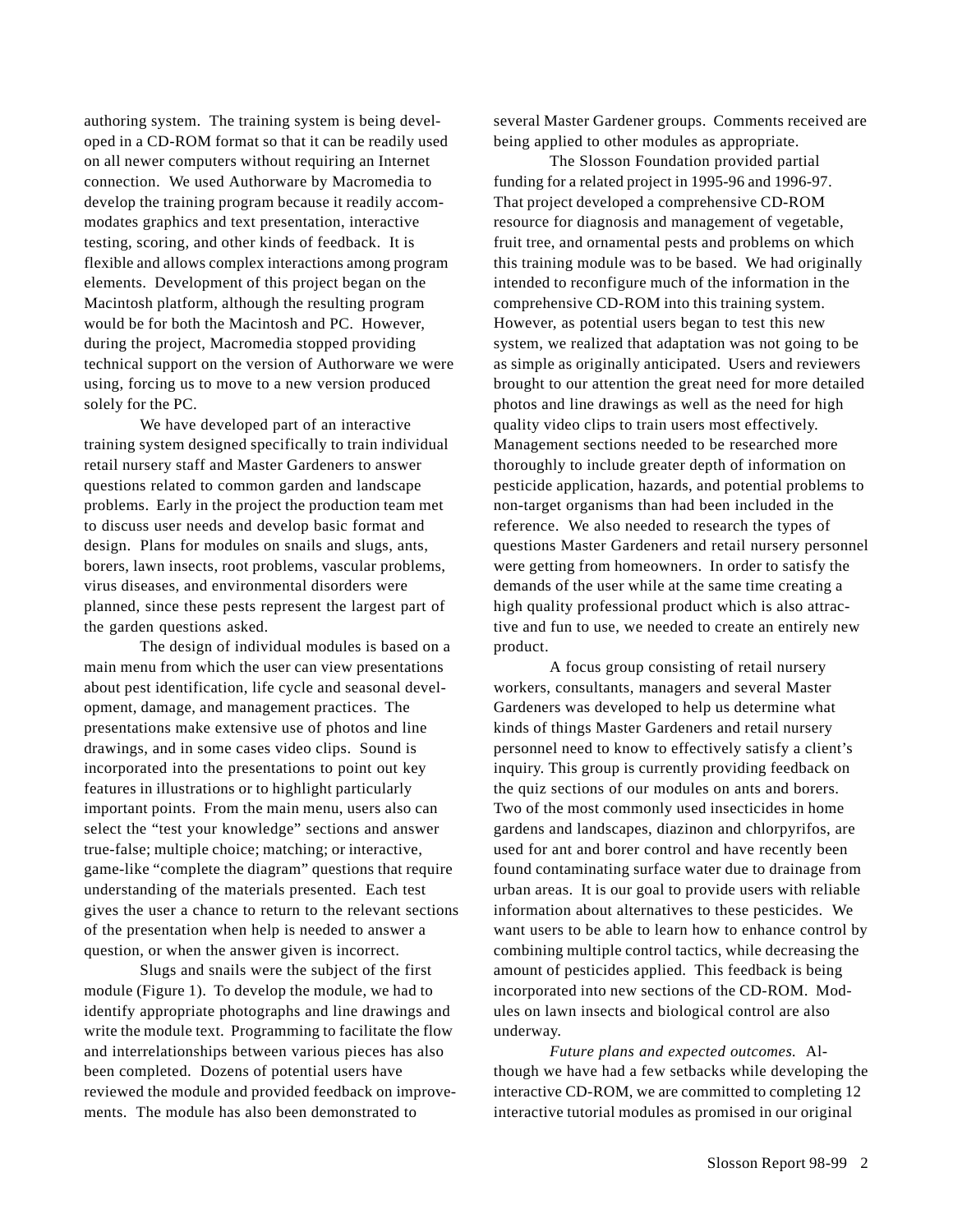authoring system. The training system is being developed in a CD-ROM format so that it can be readily used on all newer computers without requiring an Internet connection. We used Authorware by Macromedia to develop the training program because it readily accommodates graphics and text presentation, interactive testing, scoring, and other kinds of feedback. It is flexible and allows complex interactions among program elements. Development of this project began on the Macintosh platform, although the resulting program would be for both the Macintosh and PC. However, during the project, Macromedia stopped providing technical support on the version of Authorware we were using, forcing us to move to a new version produced solely for the PC.

We have developed part of an interactive training system designed specifically to train individual retail nursery staff and Master Gardeners to answer questions related to common garden and landscape problems. Early in the project the production team met to discuss user needs and develop basic format and design. Plans for modules on snails and slugs, ants, borers, lawn insects, root problems, vascular problems, virus diseases, and environmental disorders were planned, since these pests represent the largest part of the garden questions asked.

The design of individual modules is based on a main menu from which the user can view presentations about pest identification, life cycle and seasonal development, damage, and management practices. The presentations make extensive use of photos and line drawings, and in some cases video clips. Sound is incorporated into the presentations to point out key features in illustrations or to highlight particularly important points. From the main menu, users also can select the "test your knowledge" sections and answer true-false; multiple choice; matching; or interactive, game-like "complete the diagram" questions that require understanding of the materials presented. Each test gives the user a chance to return to the relevant sections of the presentation when help is needed to answer a question, or when the answer given is incorrect.

Slugs and snails were the subject of the first module (Figure 1). To develop the module, we had to identify appropriate photographs and line drawings and write the module text. Programming to facilitate the flow and interrelationships between various pieces has also been completed. Dozens of potential users have reviewed the module and provided feedback on improvements. The module has also been demonstrated to

several Master Gardener groups. Comments received are being applied to other modules as appropriate.

The Slosson Foundation provided partial funding for a related project in 1995-96 and 1996-97. That project developed a comprehensive CD-ROM resource for diagnosis and management of vegetable, fruit tree, and ornamental pests and problems on which this training module was to be based. We had originally intended to reconfigure much of the information in the comprehensive CD-ROM into this training system. However, as potential users began to test this new system, we realized that adaptation was not going to be as simple as originally anticipated. Users and reviewers brought to our attention the great need for more detailed photos and line drawings as well as the need for high quality video clips to train users most effectively. Management sections needed to be researched more thoroughly to include greater depth of information on pesticide application, hazards, and potential problems to non-target organisms than had been included in the reference. We also needed to research the types of questions Master Gardeners and retail nursery personnel were getting from homeowners. In order to satisfy the demands of the user while at the same time creating a high quality professional product which is also attractive and fun to use, we needed to create an entirely new product.

A focus group consisting of retail nursery workers, consultants, managers and several Master Gardeners was developed to help us determine what kinds of things Master Gardeners and retail nursery personnel need to know to effectively satisfy a client's inquiry. This group is currently providing feedback on the quiz sections of our modules on ants and borers. Two of the most commonly used insecticides in home gardens and landscapes, diazinon and chlorpyrifos, are used for ant and borer control and have recently been found contaminating surface water due to drainage from urban areas. It is our goal to provide users with reliable information about alternatives to these pesticides. We want users to be able to learn how to enhance control by combining multiple control tactics, while decreasing the amount of pesticides applied. This feedback is being incorporated into new sections of the CD-ROM. Modules on lawn insects and biological control are also underway.

*Future plans and expected outcomes.* Although we have had a few setbacks while developing the interactive CD-ROM, we are committed to completing 12 interactive tutorial modules as promised in our original